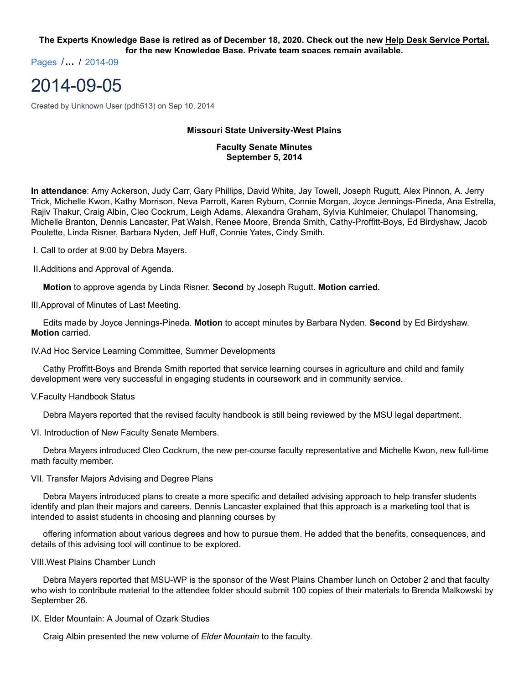**The Experts Knowledge Base is retired as of December 18, 2020. Check out the new Help Desk Service Portal. for the new Knowledge Base. Private team spaces remain available.**

Pages /**…** / 2014-09

# 2014-09-05

Created by Unknown User (pdh513) on Sep 10, 2014

# **Missouri State University-West Plains**

**Faculty Senate Minutes September 5, 2014**

**In attendance**: Amy Ackerson, Judy Carr, Gary Phillips, David White, Jay Towell, Joseph Rugutt, Alex Pinnon, A. Jerry Trick, Michelle Kwon, Kathy Morrison, Neva Parrott, Karen Ryburn, Connie Morgan, Joyce Jennings-Pineda, Ana Estrella, Rajiv Thakur, Craig Albin, Cleo Cockrum, Leigh Adams, Alexandra Graham, Sylvia Kuhlmeier, Chulapol Thanomsing, Michelle Branton, Dennis Lancaster, Pat Walsh, Renee Moore, Brenda Smith, Cathy-Proffitt-Boys, Ed Birdyshaw, Jacob Poulette, Linda Risner, Barbara Nyden, Jeff Huff, Connie Yates, Cindy Smith.

I. Call to order at 9:00 by Debra Mayers.

II.Additions and Approval of Agenda.

 **Motion** to approve agenda by Linda Risner. **Second** by Joseph Rugutt. **Motion carried.**

III.Approval of Minutes of Last Meeting.

 Edits made by Joyce Jennings-Pineda. **Motion** to accept minutes by Barbara Nyden. **Second** by Ed Birdyshaw. **Motion** carried.

IV.Ad Hoc Service Learning Committee, Summer Developments

 Cathy Proffitt-Boys and Brenda Smith reported that service learning courses in agriculture and child and family development were very successful in engaging students in coursework and in community service.

#### V.Faculty Handbook Status

Debra Mayers reported that the revised faculty handbook is still being reviewed by the MSU legal department.

VI. Introduction of New Faculty Senate Members.

 Debra Mayers introduced Cleo Cockrum, the new per-course faculty representative and Michelle Kwon, new full-time math faculty member.

VII. Transfer Majors Advising and Degree Plans

 Debra Mayers introduced plans to create a more specific and detailed advising approach to help transfer students identify and plan their majors and careers. Dennis Lancaster explained that this approach is a marketing tool that is intended to assist students in choosing and planning courses by

 offering information about various degrees and how to pursue them. He added that the benefits, consequences, and details of this advising tool will continue to be explored.

#### VIII.West Plains Chamber Lunch

 Debra Mayers reported that MSU-WP is the sponsor of the West Plains Chamber lunch on October 2 and that faculty who wish to contribute material to the attendee folder should submit 100 copies of their materials to Brenda Malkowski by September 26.

IX. Elder Mountain: A Journal of Ozark Studies

Craig Albin presented the new volume of *Elder Mountain* to the faculty.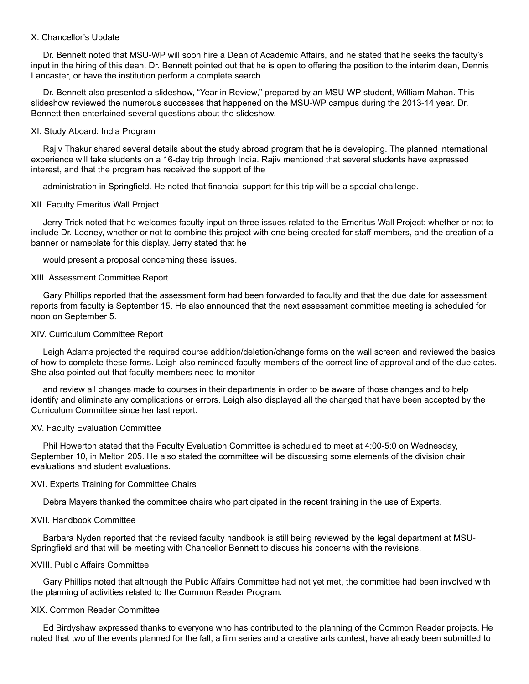## X. Chancellor's Update

 Dr. Bennett noted that MSU-WP will soon hire a Dean of Academic Affairs, and he stated that he seeks the faculty's input in the hiring of this dean. Dr. Bennett pointed out that he is open to offering the position to the interim dean, Dennis Lancaster, or have the institution perform a complete search.

 Dr. Bennett also presented a slideshow, "Year in Review," prepared by an MSU-WP student, William Mahan. This slideshow reviewed the numerous successes that happened on the MSU-WP campus during the 2013-14 year. Dr. Bennett then entertained several questions about the slideshow.

# XI. Study Aboard: India Program

 Rajiv Thakur shared several details about the study abroad program that he is developing. The planned international experience will take students on a 16-day trip through India. Rajiv mentioned that several students have expressed interest, and that the program has received the support of the

administration in Springfield. He noted that financial support for this trip will be a special challenge.

# XII. Faculty Emeritus Wall Project

 Jerry Trick noted that he welcomes faculty input on three issues related to the Emeritus Wall Project: whether or not to include Dr. Looney, whether or not to combine this project with one being created for staff members, and the creation of a banner or nameplate for this display. Jerry stated that he

would present a proposal concerning these issues.

# XIII. Assessment Committee Report

 Gary Phillips reported that the assessment form had been forwarded to faculty and that the due date for assessment reports from faculty is September 15. He also announced that the next assessment committee meeting is scheduled for noon on September 5.

#### XIV. Curriculum Committee Report

 Leigh Adams projected the required course addition/deletion/change forms on the wall screen and reviewed the basics of how to complete these forms. Leigh also reminded faculty members of the correct line of approval and of the due dates. She also pointed out that faculty members need to monitor

 and review all changes made to courses in their departments in order to be aware of those changes and to help identify and eliminate any complications or errors. Leigh also displayed all the changed that have been accepted by the Curriculum Committee since her last report.

## XV. Faculty Evaluation Committee

 Phil Howerton stated that the Faculty Evaluation Committee is scheduled to meet at 4:00-5:0 on Wednesday, September 10, in Melton 205. He also stated the committee will be discussing some elements of the division chair evaluations and student evaluations.

# XVI. Experts Training for Committee Chairs

Debra Mayers thanked the committee chairs who participated in the recent training in the use of Experts.

#### XVII. Handbook Committee

 Barbara Nyden reported that the revised faculty handbook is still being reviewed by the legal department at MSU-Springfield and that will be meeting with Chancellor Bennett to discuss his concerns with the revisions.

## XVIII. Public Affairs Committee

 Gary Phillips noted that although the Public Affairs Committee had not yet met, the committee had been involved with the planning of activities related to the Common Reader Program.

## XIX. Common Reader Committee

 Ed Birdyshaw expressed thanks to everyone who has contributed to the planning of the Common Reader projects. He noted that two of the events planned for the fall, a film series and a creative arts contest, have already been submitted to